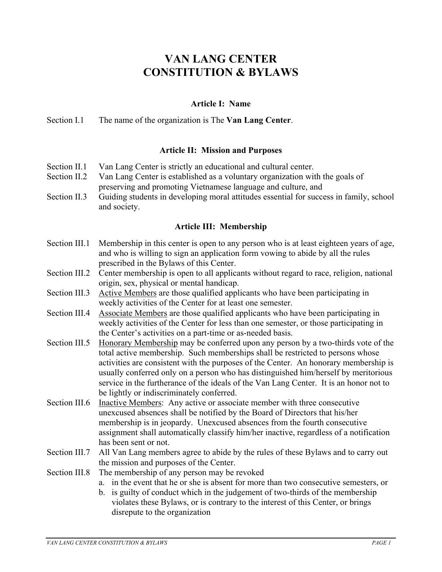# **VAN LANG CENTER CONSTITUTION & BYLAWS**

## **Article I: Name**

Section I.1 The name of the organization is The **Van Lang Center**.

## **Article II: Mission and Purposes**

- Section II.1 Van Lang Center is strictly an educational and cultural center.
- Section II.2 Van Lang Center is established as a voluntary organization with the goals of preserving and promoting Vietnamese language and culture, and
- Section II.3 Guiding students in developing moral attitudes essential for success in family, school and society.

## **Article III: Membership**

- Section III.1 Membership in this center is open to any person who is at least eighteen years of age, and who is willing to sign an application form vowing to abide by all the rules prescribed in the Bylaws of this Center.
- Section III.2 Center membership is open to all applicants without regard to race, religion, national origin, sex, physical or mental handicap.
- Section III.3 Active Members are those qualified applicants who have been participating in weekly activities of the Center for at least one semester.
- Section III.4 Associate Members are those qualified applicants who have been participating in weekly activities of the Center for less than one semester, or those participating in the Center's activities on a part-time or as-needed basis.
- Section III.5 Honorary Membership may be conferred upon any person by a two-thirds vote of the total active membership. Such memberships shall be restricted to persons whose activities are consistent with the purposes of the Center. An honorary membership is usually conferred only on a person who has distinguished him/herself by meritorious service in the furtherance of the ideals of the Van Lang Center. It is an honor not to be lightly or indiscriminately conferred.
- Section III.6 Inactive Members: Any active or associate member with three consecutive unexcused absences shall be notified by the Board of Directors that his/her membership is in jeopardy. Unexcused absences from the fourth consecutive assignment shall automatically classify him/her inactive, regardless of a notification has been sent or not.
- Section III.7 All Van Lang members agree to abide by the rules of these Bylaws and to carry out the mission and purposes of the Center.
- Section III.8 The membership of any person may be revoked
	- a. in the event that he or she is absent for more than two consecutive semesters, or
	- b. is guilty of conduct which in the judgement of two-thirds of the membership violates these Bylaws, or is contrary to the interest of this Center, or brings disrepute to the organization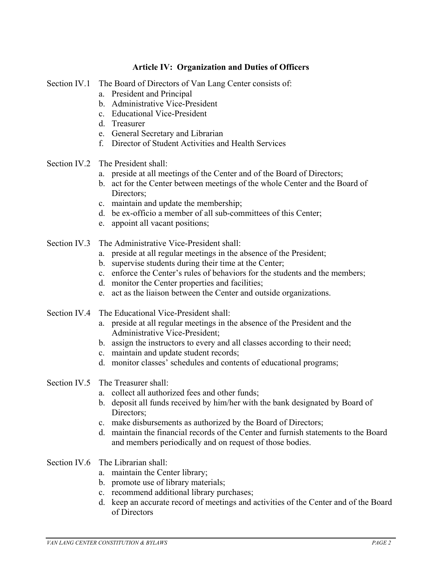## **Article IV: Organization and Duties of Officers**

- Section IV.1 The Board of Directors of Van Lang Center consists of:
	- a. President and Principal
	- b. Administrative Vice-President
	- c. Educational Vice-President
	- d. Treasurer
	- e. General Secretary and Librarian
	- f. Director of Student Activities and Health Services
- Section IV.2 The President shall:
	- a. preside at all meetings of the Center and of the Board of Directors;
	- b. act for the Center between meetings of the whole Center and the Board of Directors;
	- c. maintain and update the membership;
	- d. be ex-officio a member of all sub-committees of this Center;
	- e. appoint all vacant positions;
- Section IV.3 The Administrative Vice-President shall:
	- a. preside at all regular meetings in the absence of the President;
	- b. supervise students during their time at the Center;
	- c. enforce the Center's rules of behaviors for the students and the members;
	- d. monitor the Center properties and facilities;
	- e. act as the liaison between the Center and outside organizations.
- Section IV.4 The Educational Vice-President shall:
	- a. preside at all regular meetings in the absence of the President and the Administrative Vice-President;
	- b. assign the instructors to every and all classes according to their need;
	- c. maintain and update student records;
	- d. monitor classes' schedules and contents of educational programs;

#### Section IV.5 The Treasurer shall:

- a. collect all authorized fees and other funds;
- b. deposit all funds received by him/her with the bank designated by Board of Directors:
- c. make disbursements as authorized by the Board of Directors;
- d. maintain the financial records of the Center and furnish statements to the Board and members periodically and on request of those bodies.
- Section IV.6 The Librarian shall:
	- a. maintain the Center library;
	- b. promote use of library materials;
	- c. recommend additional library purchases;
	- d. keep an accurate record of meetings and activities of the Center and of the Board of Directors